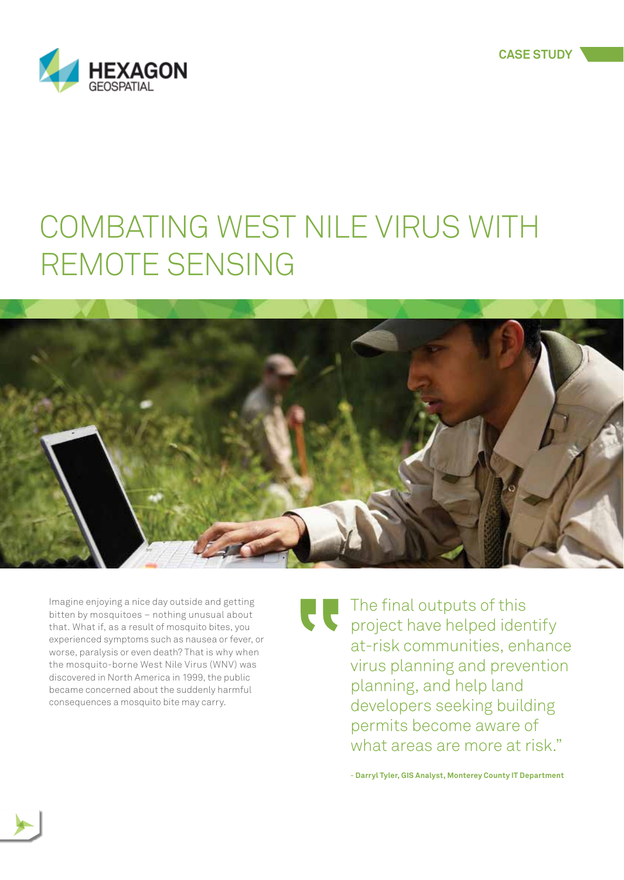



## COMBATING WEST NILE VIRUS WITH REMOTE SENSING



Imagine enjoying a nice day outside and getting bitten by mosquitoes – nothing unusual about that. What if, as a result of mosquito bites, you experienced symptoms such as nausea or fever, or worse, paralysis or even death? That is why when the mosquito-borne West Nile Virus (WNV) was discovered in North America in 1999, the public became concerned about the suddenly harmful consequences a mosquito bite may carry.

The final outputs of this project have helped identify at-risk communities, enhance virus planning and prevention planning, and help land developers seeking building permits become aware of what areas are more at risk."

- **Darryl Tyler, GIS Analyst, Monterey County IT Department**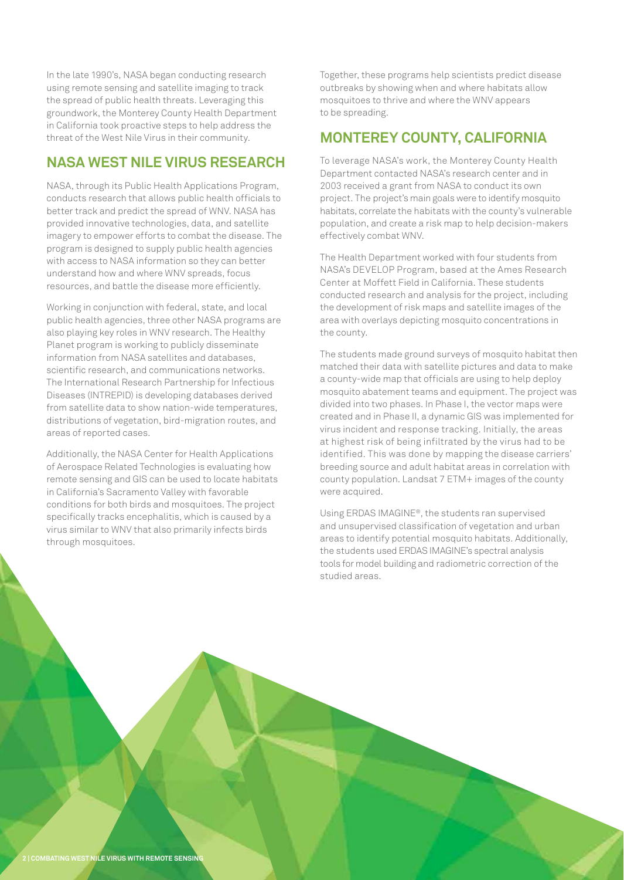In the late 1990's, NASA began conducting research using remote sensing and satellite imaging to track the spread of public health threats. Leveraging this groundwork, the Monterey County Health Department in California took proactive steps to help address the threat of the West Nile Virus in their community.

## **NASA WEST NILE VIRUS RESEARCH**

NASA, through its Public Health Applications Program, conducts research that allows public health officials to better track and predict the spread of WNV. NASA has provided innovative technologies, data, and satellite imagery to empower efforts to combat the disease. The program is designed to supply public health agencies with access to NASA information so they can better understand how and where WNV spreads, focus resources, and battle the disease more efficiently.

Working in conjunction with federal, state, and local public health agencies, three other NASA programs are also playing key roles in WNV research. The Healthy Planet program is working to publicly diseminate

nformation from NASA satellites and databases. scientific research, and communications networks. The International Research Partnership for Infectious Diseases (INTREPID) is developing databases derived from satellite data to show nation-wide temperatures, distributions of vegetation, bird-migration routes, and areas of reported cases.

Additionally, the NASA Center for Health Applications of Aerospace Related Technologies is evaluating how remote sensing and GIS can be used to locate habitats in California's Sacramento Valley with favorable conditions for both birds and mosquitoes. The project specifically tracks encephalitis, which is caused by a virus similar to WNV that also primarily infects birds through mosquitoes.

Together, these programs help scientists predict disease outbreaks by showing when and where habitats allow mosquitoes to thrive and where the WNV appears to be spreading.

## **MONTEREY COUNTY, CALIFORNIA**

To leverage NASA's work, the Monterey County Health Department contacted NASA's research center and in 2003 received a grant from NASA to conduct its own project. The project's main goals were to identify mosquito habitats, correlate the habitats with the county's vulnerable population, and create a risk map to help decision-makers effectively combat WNV.

The Health Department worked with four students from NASA's DEVELOP Program, based at the Ames Research Center at Moffett Field in California. These students conducted research and analysis for the project, including the development of risk maps and satellite images of the area with overlays depicting mosquito concentrations in the county.

The students made ground surveys of mosquito habitat then matched their data with satellite pictures and data to make a county-wide map that officials are using to help deploy mosquito abatement teams and equipment. The project was divided into two phases. In Phase I, the vector maps were created and in Phase II, a dynamic GIS was implemented for virus incident and response tracking. Initially, the areas at highest risk of being infiltrated by the virus had to be identified. This was done by mapping the disease carriers' breeding source and adult habitat areas in correlation with county population. Landsat 7 ETM+ images of the county

Using ERDAS IMAGINE®, the students ran supervised and unsupervised classification of vegetation and urban areas to identify potential mosquito habitats. Additionally, the students used ERDAS IMAGINE's spectral analysis tools for model building and radiometric correction of the studied areas.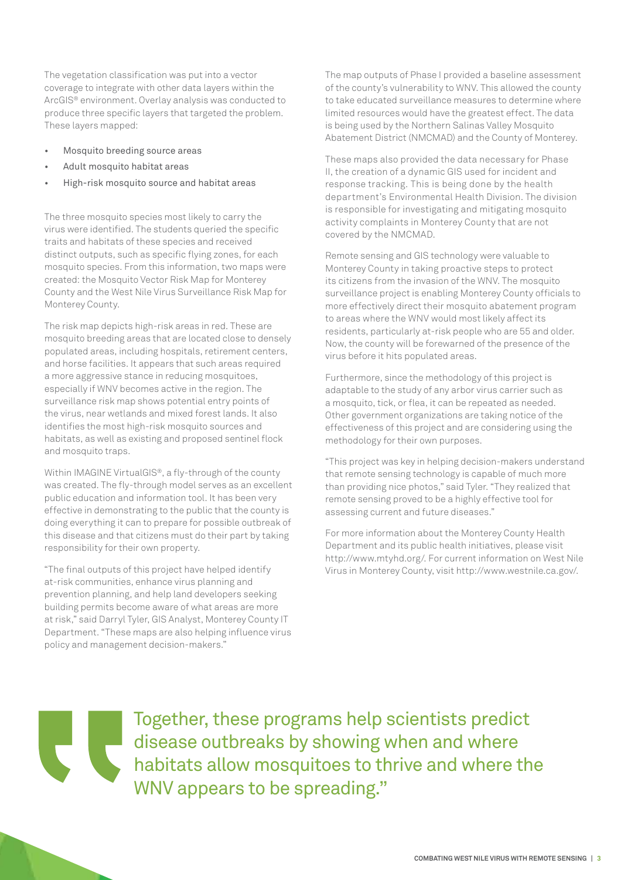The vegetation classification was put into a vector coverage to integrate with other data layers within the ArcGIS® environment. Overlay analysis was conducted to produce three specific layers that targeted the problem. These layers mapped:

- Mosquito breeding source areas
- Adult mosquito habitat areas
- High-risk mosquito source and habitat areas

The three mosquito species most likely to carry the virus were identified. The students queried the specific traits and habitats of these species and received distinct outputs, such as specific flying zones, for each mosquito species. From this information, two maps were created: the Mosquito Vector Risk Map for Monterey County and the West Nile Virus Surveillance Risk Map for Monterey County.

The risk map depicts high-risk areas in red. These are mosquito breeding areas that are located close to densely populated areas, including hospitals, retirement centers, and horse facilities. It appears that such areas required a more aggressive stance in reducing mosquitoes, especially if WNV becomes active in the region. The surveillance risk map shows potential entry points of the virus, near wetlands and mixed forest lands. It also identifies the most high-risk mosquito sources and habitats, as well as existing and proposed sentinel flock and mosquito traps.

Within IMAGINE VirtualGIS®, a fly-through of the county was created. The fly-through model serves as an excellent public education and information tool. It has been very effective in demonstrating to the public that the county is doing everything it can to prepare for possible outbreak of this disease and that citizens must do their part by taking responsibility for their own property.

'The final outputs of this project have helped identify at-risk communities, enhance virus planning and prevention planning, and help land developers seeking building permits become aware of what areas are more at risk," said Darryl Tyler, GIS Analyst, Monterey County IT Department. "These maps are also helping influence virus policy and management decision-makers."

The map outputs of Phase I provided a baseline assessment of the county's vulnerability to WNV. This allowed the county to take educated surveillance measures to determine where limited resources would have the greatest effect. The data is being used by the Northern Salinas Valley Mosquito Abatement District (NMCMAD) and the County of Monterey.

These maps also provided the data necessary for Phase II, the creation of a dynamic GIS used for incident and response tracking. This is being done by the health department's Environmental Health Division. The division is responsible for investigating and mitigating mosquito activity complaints in Monterey County that are not covered by the NMCMAD.

Remote sensing and GIS technology were valuable to Monterey County in taking proactive steps to protect its citizens from the invasion of the WNV. The mosquito surveillance project is enabling Monterey County officials to more effectively direct their mosquito abatement program to areas where the WNV would most likely affect its residents, particularly at-risk people who are 55 and older. Now, the county will be forewarned of the presence of the virus before it hits populated areas.

Furthermore, since the methodology of this project is adaptable to the study of any arbor virus carrier such as a mosquito, tick, or flea, it can be repeated as needed. Other government organizations are taking notice of the effectiveness of this project and are considering using the methodology for their own purposes.

"This project was key in helping decision-makers understand that remote sensing technology is capable of much more than providing nice photos," said Tyler. "They realized that remote sensing proved to be a highly effective tool for assessing current and future diseases."

For more information about the Monterey County Health Department and its public health initiatives, please visit http://www.mtyhd.org/. For current information on West Nile Virus in Monterey County, visit http://www.westnile.ca.gov/.

Together, these programs help scientists predict disease outbreaks by showing when and where habitats allow mosquitoes to thrive and where the WNV appears to be spreading."